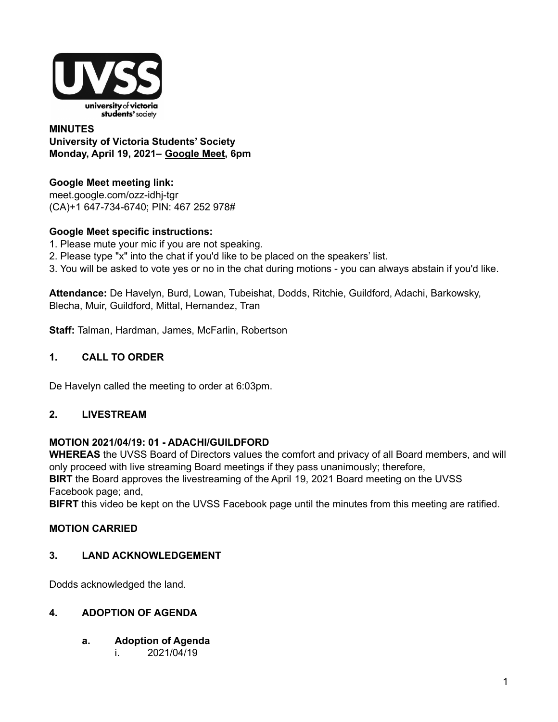

### **MINUTES University of Victoria Students' Society Monday, April 19, 2021– [Google](http://meet.google.com/ozz-idhj-tgr) Meet, 6pm**

# **Google Meet meeting link:**

[meet.google.com/ozz-idhj-tgr](https://meet.google.com/ozz-idhj-tgr?hs=122&authuser=2) (CA)+1 647-734-6740; PIN: 467 252 978#

# **Google Meet specific instructions:**

- 1. Please mute your mic if you are not speaking.
- 2. Please type "x" into the chat if you'd like to be placed on the speakers' list.
- 3. You will be asked to vote yes or no in the chat during motions you can always abstain if you'd like.

**Attendance:** De Havelyn, Burd, Lowan, Tubeishat, Dodds, Ritchie, Guildford, Adachi, Barkowsky, Blecha, Muir, Guildford, Mittal, Hernandez, Tran

**Staff:** Talman, Hardman, James, McFarlin, Robertson

# **1. CALL TO ORDER**

De Havelyn called the meeting to order at 6:03pm.

# **2. LIVESTREAM**

# **MOTION 2021/04/19: 01 - ADACHI/GUILDFORD**

**WHEREAS** the UVSS Board of Directors values the comfort and privacy of all Board members, and will only proceed with live streaming Board meetings if they pass unanimously; therefore,

**BIRT** the Board approves the livestreaming of the April 19, 2021 Board meeting on the UVSS Facebook page; and,

**BIFRT** this video be kept on the UVSS Facebook page until the minutes from this meeting are ratified.

# **MOTION CARRIED**

# **3. LAND ACKNOWLEDGEMENT**

Dodds acknowledged the land.

# **4. ADOPTION OF AGENDA**

- **a. Adoption of Agenda**
	- i. 2021/04/19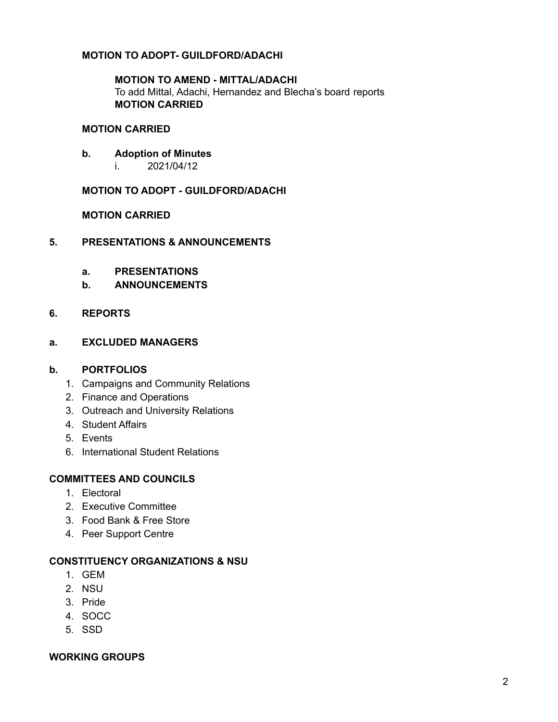### **MOTION TO ADOPT- GUILDFORD/ADACHI**

**MOTION TO AMEND - MITTAL/ADACHI** To add Mittal, Adachi, Hernandez and Blecha's board reports **MOTION CARRIED**

#### **MOTION CARRIED**

- **b. Adoption of Minutes**
	- i. 2021/04/12

**MOTION TO ADOPT - GUILDFORD/ADACHI**

**MOTION CARRIED**

- **5. PRESENTATIONS & ANNOUNCEMENTS**
	- **a. PRESENTATIONS**
	- **b. ANNOUNCEMENTS**
- **6. REPORTS**
- **a. EXCLUDED MANAGERS**

#### **b. PORTFOLIOS**

- 1. Campaigns and Community Relations
- 2. Finance and Operations
- 3. Outreach and University Relations
- 4. Student Affairs
- 5. Events
- 6. International Student Relations

#### **COMMITTEES AND COUNCILS**

- 1. Electoral
- 2. Executive Committee
- 3. Food Bank & Free Store
- 4. Peer Support Centre

#### **CONSTITUENCY ORGANIZATIONS & NSU**

- 1. GEM
- 2. NSU
- 3. Pride
- 4. SOCC
- 5. SSD

#### **WORKING GROUPS**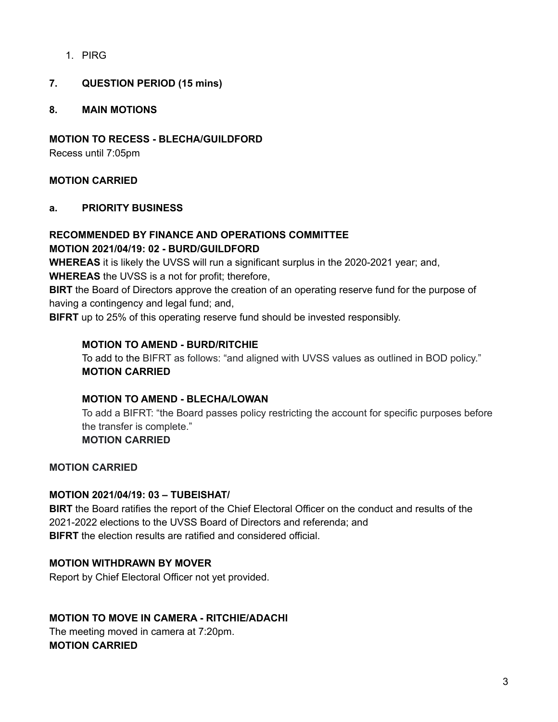1. PIRG

# **7. QUESTION PERIOD (15 mins)**

### **8. MAIN MOTIONS**

**MOTION TO RECESS - BLECHA/GUILDFORD**

Recess until 7:05pm

### **MOTION CARRIED**

### **a. PRIORITY BUSINESS**

#### **RECOMMENDED BY FINANCE AND OPERATIONS COMMITTEE MOTION 2021/04/19: 02 - BURD/GUILDFORD**

**WHEREAS** it is likely the UVSS will run a significant surplus in the 2020-2021 year; and,

**WHEREAS** the UVSS is a not for profit; therefore,

**BIRT** the Board of Directors approve the creation of an operating reserve fund for the purpose of having a contingency and legal fund; and,

**BIFRT** up to 25% of this operating reserve fund should be invested responsibly.

### **MOTION TO AMEND - BURD/RITCHIE**

To add to the BIFRT as follows: "and aligned with UVSS values as outlined in BOD policy." **MOTION CARRIED**

#### **MOTION TO AMEND - BLECHA/LOWAN**

To add a BIFRT: "the Board passes policy restricting the account for specific purposes before the transfer is complete."

#### **MOTION CARRIED**

**MOTION CARRIED**

#### **MOTION 2021/04/19: 03 – TUBEISHAT/**

**BIRT** the Board ratifies the report of the Chief Electoral Officer on the conduct and results of the 2021-2022 elections to the UVSS Board of Directors and referenda; and **BIFRT** the election results are ratified and considered official.

# **MOTION WITHDRAWN BY MOVER**

Report by Chief Electoral Officer not yet provided.

# **MOTION TO MOVE IN CAMERA - RITCHIE/ADACHI**

The meeting moved in camera at 7:20pm. **MOTION CARRIED**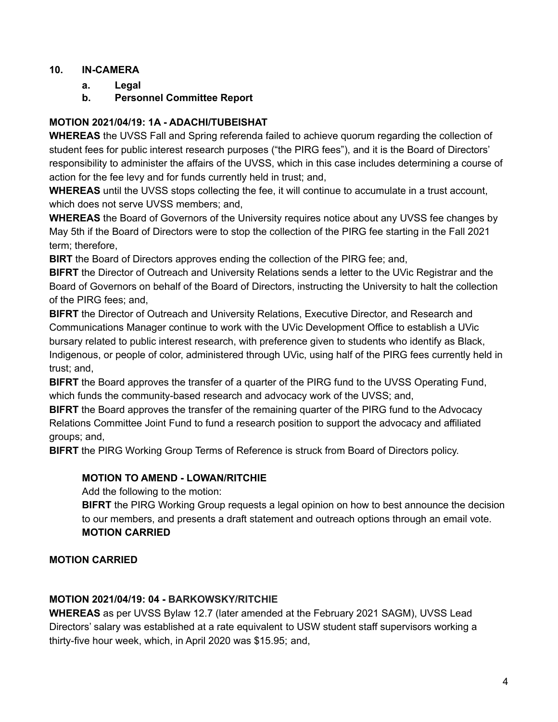# **10. IN-CAMERA**

- **a. Legal**
- **b. Personnel Committee Report**

# **MOTION 2021/04/19: 1A - ADACHI/TUBEISHAT**

**WHEREAS** the UVSS Fall and Spring referenda failed to achieve quorum regarding the collection of student fees for public interest research purposes ("the PIRG fees"), and it is the Board of Directors' responsibility to administer the affairs of the UVSS, which in this case includes determining a course of action for the fee levy and for funds currently held in trust; and,

**WHEREAS** until the UVSS stops collecting the fee, it will continue to accumulate in a trust account, which does not serve UVSS members; and,

**WHEREAS** the Board of Governors of the University requires notice about any UVSS fee changes by May 5th if the Board of Directors were to stop the collection of the PIRG fee starting in the Fall 2021 term; therefore,

**BIRT** the Board of Directors approves ending the collection of the PIRG fee; and,

**BIFRT** the Director of Outreach and University Relations sends a letter to the UVic Registrar and the Board of Governors on behalf of the Board of Directors, instructing the University to halt the collection of the PIRG fees; and,

**BIFRT** the Director of Outreach and University Relations, Executive Director, and Research and Communications Manager continue to work with the UVic Development Office to establish a UVic bursary related to public interest research, with preference given to students who identify as Black, Indigenous, or people of color, administered through UVic, using half of the PIRG fees currently held in trust; and,

**BIFRT** the Board approves the transfer of a quarter of the PIRG fund to the UVSS Operating Fund, which funds the community-based research and advocacy work of the UVSS; and,

**BIFRT** the Board approves the transfer of the remaining quarter of the PIRG fund to the Advocacy Relations Committee Joint Fund to fund a research position to support the advocacy and affiliated groups; and,

**BIFRT** the PIRG Working Group Terms of Reference is struck from Board of Directors policy.

# **MOTION TO AMEND - LOWAN/RITCHIE**

Add the following to the motion:

**BIFRT** the PIRG Working Group requests a legal opinion on how to best announce the decision to our members, and presents a draft statement and outreach options through an email vote. **MOTION CARRIED**

# **MOTION CARRIED**

# **MOTION 2021/04/19: 04 - BARKOWSKY/RITCHIE**

**WHEREAS** as per UVSS Bylaw 12.7 (later amended at the February 2021 SAGM), UVSS Lead Directors' salary was established at a rate equivalent to USW student staff supervisors working a thirty-five hour week, which, in April 2020 was \$15.95; and,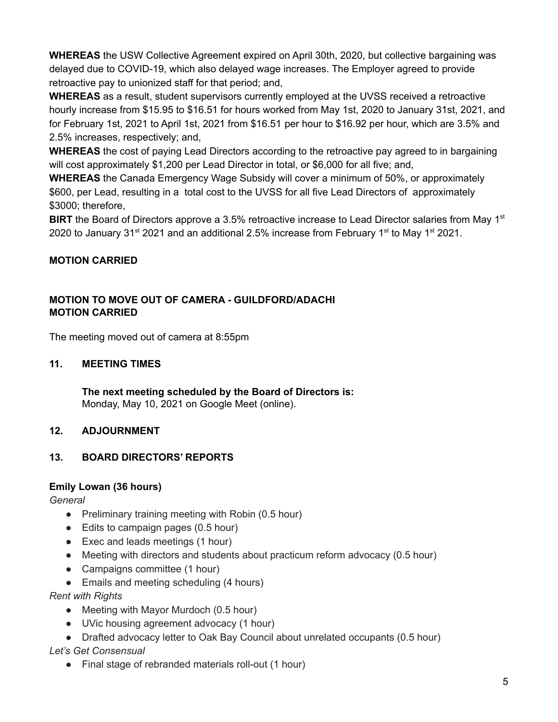**WHEREAS** the USW Collective Agreement expired on April 30th, 2020, but collective bargaining was delayed due to COVID-19, which also delayed wage increases. The Employer agreed to provide retroactive pay to unionized staff for that period; and,

**WHEREAS** as a result, student supervisors currently employed at the UVSS received a retroactive hourly increase from \$15.95 to \$16.51 for hours worked from May 1st, 2020 to January 31st, 2021, and for February 1st, 2021 to April 1st, 2021 from \$16.51 per hour to \$16.92 per hour, which are 3.5% and 2.5% increases, respectively; and,

**WHEREAS** the cost of paying Lead Directors according to the retroactive pay agreed to in bargaining will cost approximately \$1,200 per Lead Director in total, or \$6,000 for all five; and,

**WHEREAS** the Canada Emergency Wage Subsidy will cover a minimum of 50%, or approximately \$600, per Lead, resulting in a total cost to the UVSS for all five Lead Directors of approximately \$3000; therefore,

**BIRT** the Board of Directors approve a 3.5% retroactive increase to Lead Director salaries from May 1<sup>st</sup> 2020 to January 31<sup>st</sup> 2021 and an additional 2.5% increase from February 1<sup>st</sup> to May 1<sup>st</sup> 2021.

# **MOTION CARRIED**

### **MOTION TO MOVE OUT OF CAMERA - GUILDFORD/ADACHI MOTION CARRIED**

The meeting moved out of camera at 8:55pm

### **11. MEETING TIMES**

**The next meeting scheduled by the Board of Directors is:** Monday, May 10, 2021 on Google Meet (online).

# **12. ADJOURNMENT**

# **13. BOARD DIRECTORS' REPORTS**

# **Emily Lowan (36 hours)**

*General*

- Preliminary training meeting with Robin (0.5 hour)
- Edits to campaign pages (0.5 hour)
- Exec and leads meetings (1 hour)
- Meeting with directors and students about practicum reform advocacy (0.5 hour)
- Campaigns committee (1 hour)
- Emails and meeting scheduling (4 hours)

*Rent with Rights*

- Meeting with Mayor Murdoch (0.5 hour)
- UVic housing agreement advocacy (1 hour)
- Drafted advocacy letter to Oak Bay Council about unrelated occupants (0.5 hour)

# *Let's Get Consensual*

● Final stage of rebranded materials roll-out (1 hour)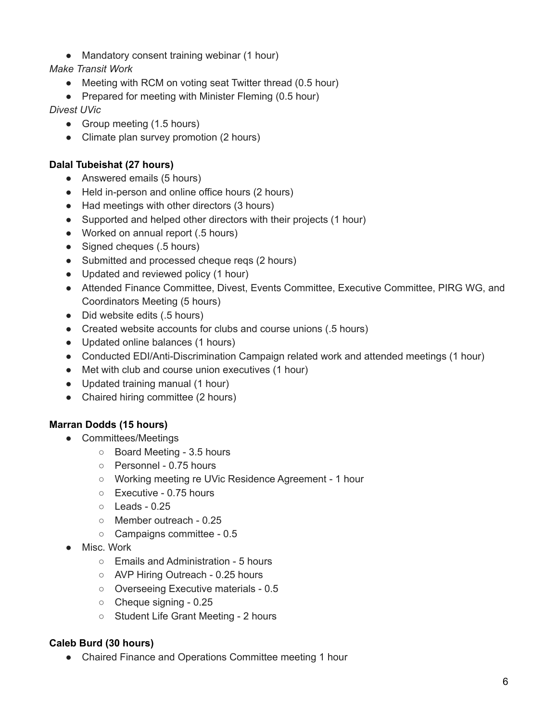- Mandatory consent training webinar (1 hour)
- *Make Transit Work*
	- Meeting with RCM on voting seat Twitter thread (0.5 hour)
	- Prepared for meeting with Minister Fleming (0.5 hour)

*Divest UVic*

- Group meeting (1.5 hours)
- Climate plan survey promotion (2 hours)

# **Dalal Tubeishat (27 hours)**

- Answered emails (5 hours)
- Held in-person and online office hours (2 hours)
- Had meetings with other directors (3 hours)
- Supported and helped other directors with their projects (1 hour)
- Worked on annual report (.5 hours)
- Signed cheques (.5 hours)
- Submitted and processed cheque reqs (2 hours)
- Updated and reviewed policy (1 hour)
- Attended Finance Committee, Divest, Events Committee, Executive Committee, PIRG WG, and Coordinators Meeting (5 hours)
- Did website edits (.5 hours)
- Created website accounts for clubs and course unions (.5 hours)
- Updated online balances (1 hours)
- Conducted EDI/Anti-Discrimination Campaign related work and attended meetings (1 hour)
- Met with club and course union executives (1 hour)
- Updated training manual (1 hour)
- Chaired hiring committee (2 hours)

# **Marran Dodds (15 hours)**

- Committees/Meetings
	- Board Meeting 3.5 hours
	- Personnel 0.75 hours
	- Working meeting re UVic Residence Agreement 1 hour
	- Executive 0.75 hours
	- Leads 0.25
	- Member outreach 0.25
	- Campaigns committee 0.5
- Misc. Work
	- Emails and Administration 5 hours
	- AVP Hiring Outreach 0.25 hours
	- Overseeing Executive materials 0.5
	- Cheque signing 0.25
	- Student Life Grant Meeting 2 hours

# **Caleb Burd (30 hours)**

• Chaired Finance and Operations Committee meeting 1 hour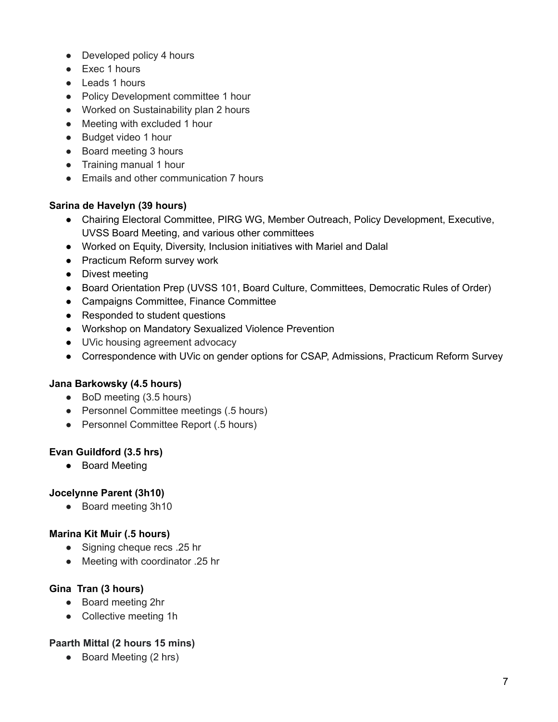- Developed policy 4 hours
- Exec 1 hours
- Leads 1 hours
- Policy Development committee 1 hour
- Worked on Sustainability plan 2 hours
- Meeting with excluded 1 hour
- Budget video 1 hour
- Board meeting 3 hours
- Training manual 1 hour
- Emails and other communication 7 hours

# **Sarina de Havelyn (39 hours)**

- Chairing Electoral Committee, PIRG WG, Member Outreach, Policy Development, Executive, UVSS Board Meeting, and various other committees
- Worked on Equity, Diversity, Inclusion initiatives with Mariel and Dalal
- Practicum Reform survey work
- Divest meeting
- Board Orientation Prep (UVSS 101, Board Culture, Committees, Democratic Rules of Order)
- Campaigns Committee, Finance Committee
- Responded to student questions
- Workshop on Mandatory Sexualized Violence Prevention
- UVic housing agreement advocacy
- Correspondence with UVic on gender options for CSAP, Admissions, Practicum Reform Survey

# **Jana Barkowsky (4.5 hours)**

- BoD meeting (3.5 hours)
- Personnel Committee meetings (.5 hours)
- Personnel Committee Report (.5 hours)

# **Evan Guildford (3.5 hrs)**

● Board Meeting

# **Jocelynne Parent (3h10)**

● Board meeting 3h10

# **Marina Kit Muir (.5 hours)**

- Signing cheque recs .25 hr
- Meeting with coordinator .25 hr

# **Gina Tran (3 hours)**

- Board meeting 2hr
- Collective meeting 1h

# **Paarth Mittal (2 hours 15 mins)**

● Board Meeting (2 hrs)